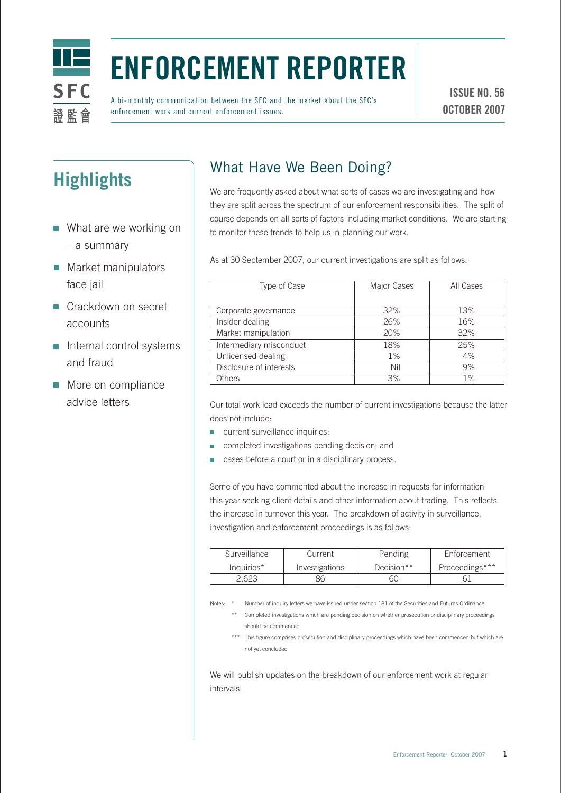

# Enforcement Reporter

A bi-monthly communication between the SFC and the market about the SFC's enforcement work and current enforcement issues.

ISSUE NO. 56 OCTOBER 2007

## **Highlights**

- What are we working on – a summary
- **Market manipulators** face jail
- Crackdown on secret accounts
- $\blacksquare$  Internal control systems and fraud
- More on compliance advice letters

### What Have We Been Doing?

We are frequently asked about what sorts of cases we are investigating and how they are split across the spectrum of our enforcement responsibilities. The split of course depends on all sorts of factors including market conditions. We are starting to monitor these trends to help us in planning our work.

As at 30 September 2007, our current investigations are split as follows:

| Type of Case            | Major Cases | All Cases |
|-------------------------|-------------|-----------|
| Corporate governance    | 32%         | 13%       |
| Insider dealing         | 26%         | 16%       |
| Market manipulation     | 20%         | 32%       |
| Intermediary misconduct | 18%         | 25%       |
| Unlicensed dealing      | $1\%$       | 4%        |
| Disclosure of interests | Nil         | 9%        |
| Others                  | 3%          | $1\%$     |

Our total work load exceeds the number of current investigations because the latter does not include:

- **CULTER** current surveillance inquiries;
- completed investigations pending decision; and  $\mathcal{L}_{\mathcal{A}}$
- cases before a court or in a disciplinary process.

Some of you have commented about the increase in requests for information this year seeking client details and other information about trading. This reflects the increase in turnover this year. The breakdown of activity in surveillance, investigation and enforcement proceedings is as follows:

| Surveillance | Current        | Pending    | Enforcement    |
|--------------|----------------|------------|----------------|
| Inquiries*   | Investigations | Decision** | Proceedings*** |
| 2.623        | 36             | 60         |                |

Notes: \* Number of inquiry letters we have issued under section 181 of the Securities and Futures Ordinance

- \*\* Completed investigations which are pending decision on whether prosecution or disciplinary proceedings should be commenced
- \*\*\* This figure comprises prosecution and disciplinary proceedings which have been commenced but which are not yet concluded

We will publish updates on the breakdown of our enforcement work at regular intervals.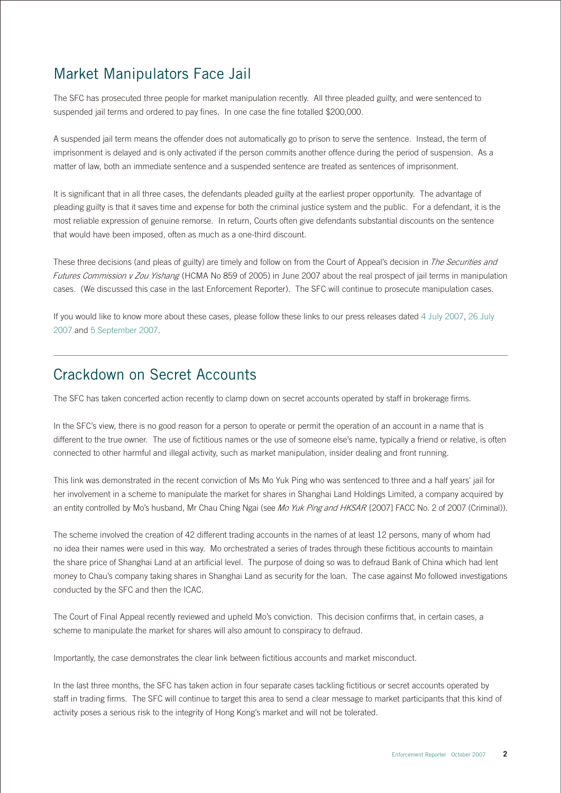#### Market Manipulators Face Jail

The SFC has prosecuted three people for market manipulation recently. All three pleaded guilty, and were sentenced to suspended jail terms and ordered to pay fines. In one case the fine totalled \$200,000.

A suspended jail term means the offender does not automatically go to prison to serve the sentence. Instead, the term of imprisonment is delayed and is only activated if the person commits another offence during the period of suspension. As a matter of law, both an immediate sentence and a suspended sentence are treated as sentences of imprisonment.

It is significant that in all three cases, the defendants pleaded guilty at the earliest proper opportunity. The advantage of pleading guilty is that it saves time and expense for both the criminal justice system and the public. For a defendant, it is the most reliable expression of genuine remorse. In return, Courts often give defendants substantial discounts on the sentence that would have been imposed, often as much as a one-third discount.

These three decisions (and pleas of guilty) are timely and follow on from the Court of Appeal's decision in The Securities and Futures Commission v Zou Yishang (HCMA No 859 of 2005) in June 2007 about the real prospect of jail terms in manipulation cases. (We discussed this case in the last Enforcement Reporter). The SFC will continue to prosecute manipulation cases.

If you would like to know more about these cases, please follow these links to our press releases dated [4 July 2007,](http://www.sfc.hk/sfcPressRelease/EN/sfcOpenDocServlet?docno=07PR113) [26 July](http://www.sfc.hk/sfcPressRelease/EN/sfcOpenDocServlet?docno=07PR126)  2007 and [5 September 2007](http://www.sfc.hk/sfcPressRelease/EN/sfcOpenDocServlet?docno=07PR148).

#### Crackdown on Secret Accounts

The SFC has taken concerted action recently to clamp down on secret accounts operated by staff in brokerage firms.

In the SFC's view, there is no good reason for a person to operate or permit the operation of an account in a name that is different to the true owner. The use of fictitious names or the use of someone else's name, typically a friend or relative, is often connected to other harmful and illegal activity, such as market manipulation, insider dealing and front running.

This link was demonstrated in the recent conviction of Ms Mo Yuk Ping who was sentenced to three and a half years' jail for her involvement in a scheme to manipulate the market for shares in Shanghai Land Holdings Limited, a company acquired by an entity controlled by Mo's husband, Mr Chau Ching Ngai (see Mo Yuk Ping and HKSAR [2007] FACC No. 2 of 2007 (Criminal)).

The scheme involved the creation of 42 different trading accounts in the names of at least 12 persons, many of whom had no idea their names were used in this way. Mo orchestrated a series of trades through these fictitious accounts to maintain the share price of Shanghai Land at an artificial level. The purpose of doing so was to defraud Bank of China which had lent money to Chau's company taking shares in Shanghai Land as security for the loan. The case against Mo followed investigations conducted by the SFC and then the ICAC.

The Court of Final Appeal recently reviewed and upheld Mo's conviction. This decision confirms that, in certain cases, a scheme to manipulate the market for shares will also amount to conspiracy to defraud.

Importantly, the case demonstrates the clear link between fictitious accounts and market misconduct.

In the last three months, the SFC has taken action in four separate cases tackling fictitious or secret accounts operated by staff in trading firms. The SFC will continue to target this area to send a clear message to market participants that this kind of activity poses a serious risk to the integrity of Hong Kong's market and will not be tolerated.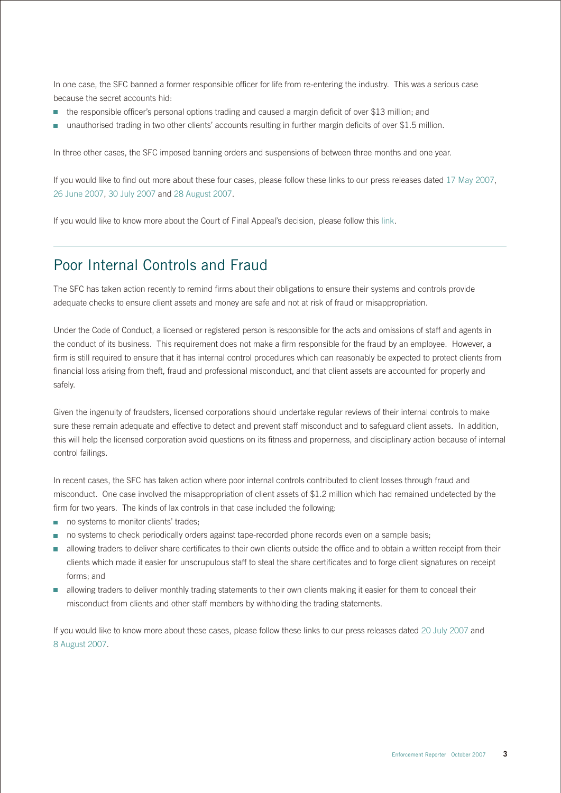In one case, the SFC banned a former responsible officer for life from re-entering the industry. This was a serious case because the secret accounts hid:

- the responsible officer's personal options trading and caused a margin deficit of over \$13 million; and  $\mathcal{L}_{\mathcal{A}}$
- unauthorised trading in two other clients' accounts resulting in further margin deficits of over \$1.5 million.

In three other cases, the SFC imposed banning orders and suspensions of between three months and one year.

If you would like to find out more about these four cases, please follow these links to our press releases date[d 17 May 2007,](http://www.sfc.hk/sfcPressRelease/EN/sfcOpenDocServlet?docno=07PR84) [26 June 2007](http://www.sfc.hk/sfcPressRelease/EN/sfcOpenDocServlet?docno=07PR106)[, 30 July 2007](http://www.sfc.hk/sfcPressRelease/EN/sfcOpenDocServlet?docno=07PR127) an[d 28 August 2007](http://www.sfc.hk/sfcPressRelease/EN/sfcOpenDocServlet?docno=07PR141).

If you would like to know more about the Court of Final Appeal's decision, please follow thi[s link.](http://legalref.judiciary.gov.hk/doc/judg/word/vetted/other/en/2007/FACC000002_2007.doc)

#### Poor Internal Controls and Fraud

The SFC has taken action recently to remind firms about their obligations to ensure their systems and controls provide adequate checks to ensure client assets and money are safe and not at risk of fraud or misappropriation.

Under the Code of Conduct, a licensed or registered person is responsible for the acts and omissions of staff and agents in the conduct of its business. This requirement does not make a firm responsible for the fraud by an employee. However, a firm is still required to ensure that it has internal control procedures which can reasonably be expected to protect clients from financial loss arising from theft, fraud and professional misconduct, and that client assets are accounted for properly and safely.

Given the ingenuity of fraudsters, licensed corporations should undertake regular reviews of their internal controls to make sure these remain adequate and effective to detect and prevent staff misconduct and to safeguard client assets. In addition, this will help the licensed corporation avoid questions on its fitness and properness, and disciplinary action because of internal control failings.

In recent cases, the SFC has taken action where poor internal controls contributed to client losses through fraud and misconduct. One case involved the misappropriation of client assets of \$1.2 million which had remained undetected by the firm for two years. The kinds of lax controls in that case included the following:

- no systems to monitor clients' trades;
- no systems to check periodically orders against tape-recorded phone records even on a sample basis;
- allowing traders to deliver share certificates to their own clients outside the office and to obtain a written receipt from their clients which made it easier for unscrupulous staff to steal the share certificates and to forge client signatures on receipt forms; and
- allowing traders to deliver monthly trading statements to their own clients making it easier for them to conceal their misconduct from clients and other staff members by withholding the trading statements.

If you would like to know more about these cases, please follow these links to our press releases dated [20 July 2007](http://www.sfc.hk/sfcPressRelease/EN/sfcOpenDocServlet?docno=07PR122) and [8 August 2007](http://www.sfc.hk/sfcPressRelease/EN/sfcOpenDocServlet?docno=07PR130).